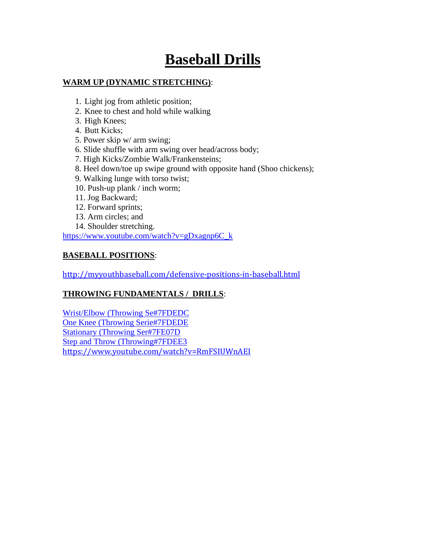# **Baseball Drills**

# **WARM UP (DYNAMIC STRETCHING)**:

- 1. Light jog from athletic position;
- 2. Knee to chest and hold while walking
- 3. High Knees;
- 4. Butt Kicks;
- 5. Power skip w/ arm swing;
- 6. Slide shuffle with arm swing over head/across body;
- 7. High Kicks/Zombie Walk/Frankensteins;
- 8. Heel down/toe up swipe ground with opposite hand (Shoo chickens);
- 9. Walking lunge with torso twist;
- 10. Push-up plank / inch worm;
- 11. Jog Backward;
- 12. Forward sprints;
- 13. Arm circles; and
- 14. Shoulder stretching.

[https://www.youtube.com/watch?v=gDxagnp6C\\_k](https://www.youtube.com/watch?v=gDxagnp6C_k)

# **BASEBALL POSITIONS**:

<http://myyouthbaseball.com/defensive-positions-in-baseball.html>

# **THROWING FUNDAMENTALS / DRILLS**:

[Wrist/Elbow \(Throwing Se#7FDEDC](http://www.qcbaseball.com/drills/throwing-wrist.aspx) [One Knee \(Throwing Serie#7FDEDE](http://www.qcbaseball.com/drills/throwing-knee.aspx) [Stationary \(Throwing Ser#7FE07D](http://www.qcbaseball.com/drills/throwing-stationary.aspx) [Step and Throw \(Throwing#7FDEE3](http://www.qcbaseball.com/drills/throwing-step.aspx) <https://www.youtube.com/watch?v=RmFSIUWnAEI>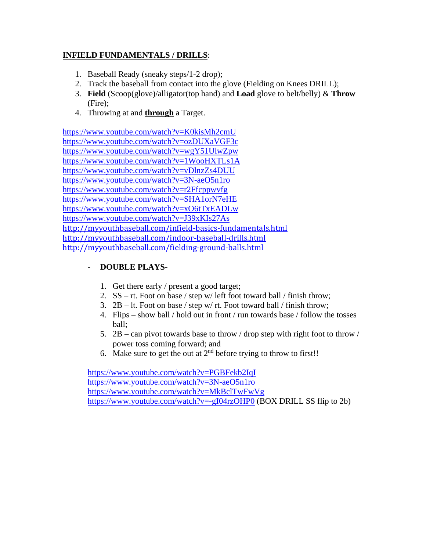# **INFIELD FUNDAMENTALS / DRILLS**:

- 1. Baseball Ready (sneaky steps/1-2 drop);
- 2. Track the baseball from contact into the glove (Fielding on Knees DRILL);
- 3. **Field** (Scoop(glove)/alligator(top hand) and **Load** glove to belt/belly) & **Throw** (Fire);
- 4. Throwing at and **through** a Target.

<https://www.youtube.com/watch?v=K0kisMh2cmU> <https://www.youtube.com/watch?v=ozDUXaVGF3c> <https://www.youtube.com/watch?v=wgY51UlwZpw> <https://www.youtube.com/watch?v=1WooHXTLs1A> <https://www.youtube.com/watch?v=vDlnzZs4DUU> <https://www.youtube.com/watch?v=3N-aeO5n1ro> <https://www.youtube.com/watch?v=r2Ffcppwvfg> <https://www.youtube.com/watch?v=SHA1orN7eHE> <https://www.youtube.com/watch?v=xO6tTxEADLw> <https://www.youtube.com/watch?v=J39xKIs27As> <http://myyouthbaseball.com/infield-basics-fundamentals.html> <http://myyouthbaseball.com/indoor-baseball-drills.html> <http://myyouthbaseball.com/fielding-ground-balls.html>

#### - **DOUBLE PLAYS-**

- 1. Get there early / present a good target;
- 2. SS rt. Foot on base / step w/ left foot toward ball / finish throw;
- 3. 2B lt. Foot on base / step w/ rt. Foot toward ball / finish throw;
- 4. Flips show ball / hold out in front / run towards base / follow the tosses ball;
- 5. 2B can pivot towards base to throw / drop step with right foot to throw / power toss coming forward; and
- 6. Make sure to get the out at  $2<sup>nd</sup>$  before trying to throw to first!!

<https://www.youtube.com/watch?v=PGBFekb2IqI> <https://www.youtube.com/watch?v=3N-aeO5n1ro> <https://www.youtube.com/watch?v=MkBclTwFwVg> <https://www.youtube.com/watch?v=-gI04rzOHP0> (BOX DRILL SS flip to 2b)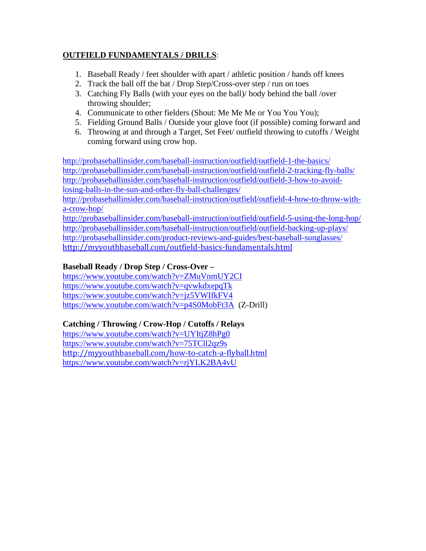#### **OUTFIELD FUNDAMENTALS / DRILLS**:

- 1. Baseball Ready / feet shoulder with apart / athletic position / hands off knees
- 2. Track the ball off the bat / Drop Step/Cross-over step / run on toes
- 3. Catching Fly Balls (with your eyes on the ball)/ body behind the ball /over throwing shoulder;
- 4. Communicate to other fielders (Shout: Me Me Me or You You You);
- 5. Fielding Ground Balls / Outside your glove foot (if possible) coming forward and
- 6. Throwing at and through a Target, Set Feet/ outfield throwing to cutoffs / Weight coming forward using crow hop.

<http://probaseballinsider.com/baseball-instruction/outfield/outfield-1-the-basics/> <http://probaseballinsider.com/baseball-instruction/outfield/outfield-2-tracking-fly-balls/> [http://probaseballinsider.com/baseball-instruction/outfield/outfield-3-how-to-avoid](http://probaseballinsider.com/baseball-instruction/outfield/outfield-3-how-to-avoid-losing-balls-in-the-sun-and-other-fly-ball-challenges/)[losing-balls-in-the-sun-and-other-fly-ball-challenges/](http://probaseballinsider.com/baseball-instruction/outfield/outfield-3-how-to-avoid-losing-balls-in-the-sun-and-other-fly-ball-challenges/)

[http://probaseballinsider.com/baseball-instruction/outfield/outfield-4-how-to-throw-with](http://probaseballinsider.com/baseball-instruction/outfield/outfield-4-how-to-throw-with-a-crow-hop/)[a-crow-hop/](http://probaseballinsider.com/baseball-instruction/outfield/outfield-4-how-to-throw-with-a-crow-hop/)

<http://probaseballinsider.com/baseball-instruction/outfield/outfield-5-using-the-long-hop/> <http://probaseballinsider.com/baseball-instruction/outfield/outfield-backing-up-plays/> <http://probaseballinsider.com/product-reviews-and-guides/best-baseball-sunglasses/> <http://myyouthbaseball.com/outfield-basics-fundamentals.html>

#### **Baseball Ready / Drop Step / Cross-Over –**

<https://www.youtube.com/watch?v=ZMuVnmUY2CI> <https://www.youtube.com/watch?v=qvwkdxepqTk> <https://www.youtube.com/watch?v=jz5VWIfkFV4> <https://www.youtube.com/watch?v=p4S0MobFt3A>(Z-Drill)

# **Catching / Throwing / Crow-Hop / Cutoffs / Relays**

<https://www.youtube.com/watch?v=UYItjZ8hPg0> <https://www.youtube.com/watch?v=75TCll2qz9s> <http://myyouthbaseball.com/how-to-catch-a-flyball.html> <https://www.youtube.com/watch?v=rjYLK2BA4vU>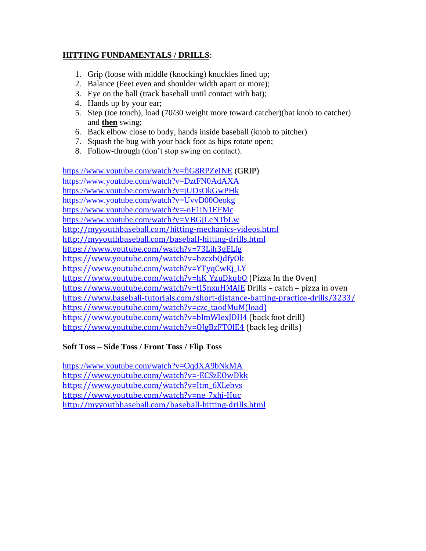#### **HITTING FUNDAMENTALS / DRILLS**:

- 1. Grip (loose with middle (knocking) knuckles lined up;
- 2. Balance (Feet even and shoulder width apart or more);
- 3. Eye on the ball (track baseball until contact with bat);
- 4. Hands up by your ear;
- 5. Step (toe touch), load (70/30 weight more toward catcher)(bat knob to catcher) and **then** swing;
- 6. Back elbow close to body, hands inside baseball (knob to pitcher)
- 7. Squash the bug with your back foot as hips rotate open;
- 8. Follow-through (don't stop swing on contact).

<https://www.youtube.com/watch?v=fjG8RPZeINE> (GRIP) <https://www.youtube.com/watch?v=DztFN0AdAXA> <https://www.youtube.com/watch?v=jUDsOkGwPHk> <https://www.youtube.com/watch?v=UvvD00Oeokg> <https://www.youtube.com/watch?v=-nF1iN1EFMc> <https://www.youtube.com/watch?v=VBGjLcNTbLw> <http://myyouthbaseball.com/hitting-mechanics-videos.html> <http://myyouthbaseball.com/baseball-hitting-drills.html> <https://www.youtube.com/watch?v=73Ljh3gELfg> <https://www.youtube.com/watch?v=bzcxbQdfyOk> [https://www.youtube.com/watch?v=YTyqCwKj\\_LY](https://www.youtube.com/watch?v=YTyqCwKj_LY) [https://www.youtube.com/watch?v=hK\\_YzuDkqbQ](https://www.youtube.com/watch?v=hK_YzuDkqbQ) (Pizza In the Oven) <https://www.youtube.com/watch?v=tI5nxuHMAJE> Drills – catch – pizza in oven <https://www.baseball-tutorials.com/short-distance-batting-practice-drills/3233/> [https://www.youtube.com/watch?v=czc\\_taodMuM\(load\)](https://www.youtube.com/watch?v=czc_taodMuM(load)) <https://www.youtube.com/watch?v=blmWIexJDH4> (back foot drill) <https://www.youtube.com/watch?v=QJgBzFTOlE4> (back leg drills)

# **Soft Toss – Side Toss / Front Toss / Flip Toss**

<https://www.youtube.com/watch?v=OqdXA9bNkMA> <https://www.youtube.com/watch?v=-ECSzEOwDkk> [https://www.youtube.com/watch?v=Itm\\_6XLebvs](https://www.youtube.com/watch?v=Itm_6XLebvs) [https://www.youtube.com/watch?v=ne\\_7xhj-Huc](https://www.youtube.com/watch?v=ne_7xhj-Huc) <http://myyouthbaseball.com/baseball-hitting-drills.html>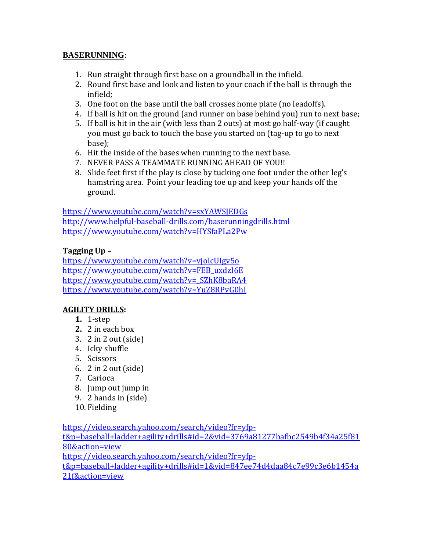#### **BASERUNNING**:

- 1. Run straight through first base on a groundball in the infield.
- 2. Round first base and look and listen to your coach if the ball is through the infield;
- 3. One foot on the base until the ball crosses home plate (no leadoffs).
- 4. If ball is hit on the ground (and runner on base behind you) run to next base;
- 5. If ball is hit in the air (with less than 2 outs) at most go half-way (if caught you must go back to touch the base you started on (tag-up to go to next base);
- 6. Hit the inside of the bases when running to the next base.
- 7. NEVER PASS A TEAMMATE RUNNING AHEAD OF YOU!!
- 8. Slide feet first if the play is close by tucking one foot under the other leg's hamstring area. Point your leading toe up and keep your hands off the ground.

<https://www.youtube.com/watch?v=sxYAWSJEDGs> <http://www.helpful-baseball-drills.com/baserunningdrills.html> <https://www.youtube.com/watch?v=HYSfaPLa2Pw>

# **Tagging Up –**

<https://www.youtube.com/watch?v=vjoIcUIgv5o> [https://www.youtube.com/watch?v=FEB\\_uxdzI6E](https://www.youtube.com/watch?v=FEB_uxdzI6E) [https://www.youtube.com/watch?v=\\_SZhK8baRA4](https://www.youtube.com/watch?v=_SZhK8baRA4) <https://www.youtube.com/watch?v=YuZ8RPvG0hI>

# **AGILITY DRILLS:**

- **1.** 1-step
- **2.** 2 in each box
- 3. 2 in 2 out (side)
- 4. Icky shuffle
- 5. Scissors
- 6. 2 in 2 out (side)
- 7. Carioca
- 8. Jump out jump in
- 9. 2 hands in (side)
- 10. Fielding

[https://video.search.yahoo.com/search/video?fr=yfp](https://video.search.yahoo.com/search/video?fr=yfp-t&p=baseball+ladder+agility+drills#id=2&vid=3769a81277bafbc2549b4f34a25f8180&action=view)[t&p=baseball+ladder+agility+drills#id=2&vid=3769a81277bafbc2549b4f34a25f81](https://video.search.yahoo.com/search/video?fr=yfp-t&p=baseball+ladder+agility+drills#id=2&vid=3769a81277bafbc2549b4f34a25f8180&action=view) [80&action=view](https://video.search.yahoo.com/search/video?fr=yfp-t&p=baseball+ladder+agility+drills#id=2&vid=3769a81277bafbc2549b4f34a25f8180&action=view) [https://video.search.yahoo.com/search/video?fr=yfp](https://video.search.yahoo.com/search/video?fr=yfp-t&p=baseball+ladder+agility+drills#id=1&vid=847ee74d4daa84c7e99c3e6b1454a21f&action=view)[t&p=baseball+ladder+agility+drills#id=1&vid=847ee74d4daa84c7e99c3e6b1454a](https://video.search.yahoo.com/search/video?fr=yfp-t&p=baseball+ladder+agility+drills#id=1&vid=847ee74d4daa84c7e99c3e6b1454a21f&action=view) [21f&action=view](https://video.search.yahoo.com/search/video?fr=yfp-t&p=baseball+ladder+agility+drills#id=1&vid=847ee74d4daa84c7e99c3e6b1454a21f&action=view)